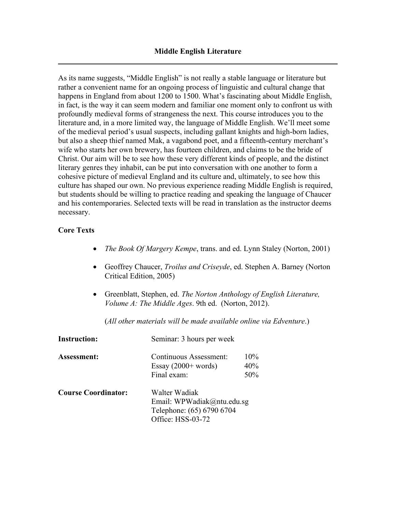As its name suggests, "Middle English" is not really a stable language or literature but rather a convenient name for an ongoing process of linguistic and cultural change that happens in England from about 1200 to 1500. What's fascinating about Middle English, in fact, is the way it can seem modern and familiar one moment only to confront us with profoundly medieval forms of strangeness the next. This course introduces you to the literature and, in a more limited way, the language of Middle English. We'll meet some of the medieval period's usual suspects, including gallant knights and high-born ladies, but also a sheep thief named Mak, a vagabond poet, and a fifteenth-century merchant's wife who starts her own brewery, has fourteen children, and claims to be the bride of Christ. Our aim will be to see how these very different kinds of people, and the distinct literary genres they inhabit, can be put into conversation with one another to form a cohesive picture of medieval England and its culture and, ultimately, to see how this culture has shaped our own. No previous experience reading Middle English is required, but students should be willing to practice reading and speaking the language of Chaucer and his contemporaries. Selected texts will be read in translation as the instructor deems necessary.

## **Core Texts**

- *The Book Of Margery Kempe*, trans. and ed. Lynn Staley (Norton, 2001)
- Geoffrey Chaucer, *Troilus and Criseyde*, ed. Stephen A. Barney (Norton Critical Edition, 2005)
- Greenblatt, Stephen, ed. *The Norton Anthology of English Literature, Volume A: The Middle Ages*. 9th ed. (Norton, 2012).

(*All other materials will be made available online via Edventure*.)

| <b>Instruction:</b>        | Seminar: 3 hours per week                                                                     |                   |
|----------------------------|-----------------------------------------------------------------------------------------------|-------------------|
| Assessment:                | Continuous Assessment:<br>Essay $(2000+words)$<br>Final exam:                                 | 10%<br>40%<br>50% |
| <b>Course Coordinator:</b> | Walter Wadiak<br>Email: WPWadiak@ntu.edu.sg<br>Telephone: (65) 6790 6704<br>Office: HSS-03-72 |                   |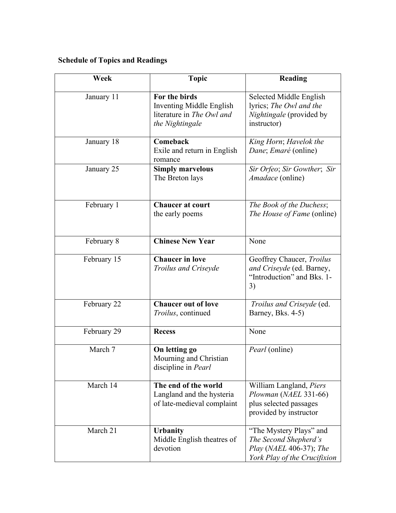## **Schedule of Topics and Readings**

| Week        | <b>Topic</b>                                                                                     | Reading                                                                                                     |
|-------------|--------------------------------------------------------------------------------------------------|-------------------------------------------------------------------------------------------------------------|
| January 11  | For the birds<br><b>Inventing Middle English</b><br>literature in The Owl and<br>the Nightingale | Selected Middle English<br>lyrics; The Owl and the<br>Nightingale (provided by<br>instructor)               |
| January 18  | Comeback<br>Exile and return in English<br>romance                                               | King Horn; Havelok the<br>Dane; Emaré (online)                                                              |
| January 25  | <b>Simply marvelous</b><br>The Breton lays                                                       | Sir Orfeo; Sir Gowther; Sir<br><i>Amadace</i> (online)                                                      |
| February 1  | <b>Chaucer at court</b><br>the early poems                                                       | The Book of the Duchess;<br>The House of Fame (online)                                                      |
| February 8  | <b>Chinese New Year</b>                                                                          | None                                                                                                        |
| February 15 | <b>Chaucer in love</b><br>Troilus and Criseyde                                                   | Geoffrey Chaucer, Troilus<br>and Criseyde (ed. Barney,<br>"Introduction" and Bks. 1-<br>3)                  |
| February 22 | <b>Chaucer out of love</b><br><i>Troilus</i> , continued                                         | Troilus and Criseyde (ed.<br>Barney, Bks. 4-5)                                                              |
| February 29 | <b>Recess</b>                                                                                    | None                                                                                                        |
| March 7     | On letting go<br>Mourning and Christian<br>discipline in Pearl                                   | <i>Pearl</i> (online)                                                                                       |
| March 14    | The end of the world<br>Langland and the hysteria<br>of late-medieval complaint                  | William Langland, Piers<br>Plowman (NAEL 331-66)<br>plus selected passages<br>provided by instructor        |
| March 21    | Urbanity<br>Middle English theatres of<br>devotion                                               | "The Mystery Plays" and<br>The Second Shepherd's<br>Play (NAEL 406-37); The<br>York Play of the Crucifixion |